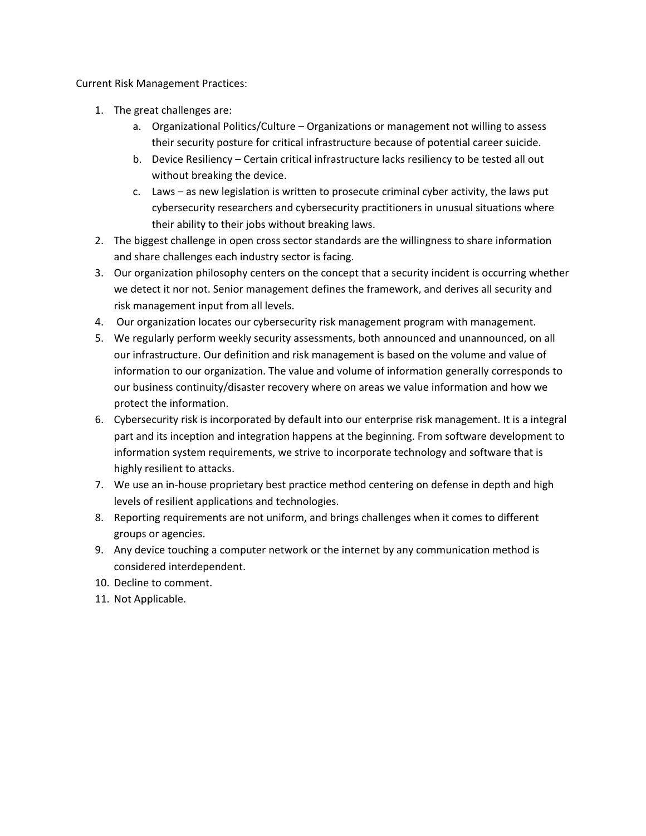Current Risk Management Practices:

- 1. The great challenges are:
	- a. Organizational Politics/Culture Organizations or management not willing to assess their security posture for critical infrastructure because of potential career suicide.
	- b. Device Resiliency Certain critical infrastructure lacks resiliency to be tested all out without breaking the device.
	- c. Laws as new legislation is written to prosecute criminal cyber activity, the laws put cybersecurity researchers and cybersecurity practitioners in unusual situations where their ability to their jobs without breaking laws.
- 2. The biggest challenge in open cross sector standards are the willingness to share information and share challenges each industry sector is facing.
- 3. Our organization philosophy centers on the concept that a security incident is occurring whether we detect it nor not. Senior management defines the framework, and derives all security and risk management input from all levels.
- 4. Our organization locates our cybersecurity risk management program with management.
- 5. We regularly perform weekly security assessments, both announced and unannounced, on all our infrastructure. Our definition and risk management is based on the volume and value of information to our organization. The value and volume of information generally corresponds to our business continuity/disaster recovery where on areas we value information and how we protect the information.
- 6. Cybersecurity risk is incorporated by default into our enterprise risk management. It is a integral part and its inception and integration happens at the beginning. From software development to information system requirements, we strive to incorporate technology and software that is highly resilient to attacks.
- 7. We use an in-house proprietary best practice method centering on defense in depth and high levels of resilient applications and technologies.
- 8. Reporting requirements are not uniform, and brings challenges when it comes to different groups or agencies.
- 9. Any device touching a computer network or the internet by any communication method is considered interdependent.
- 10. Decline to comment.
- 11. Not Applicable.